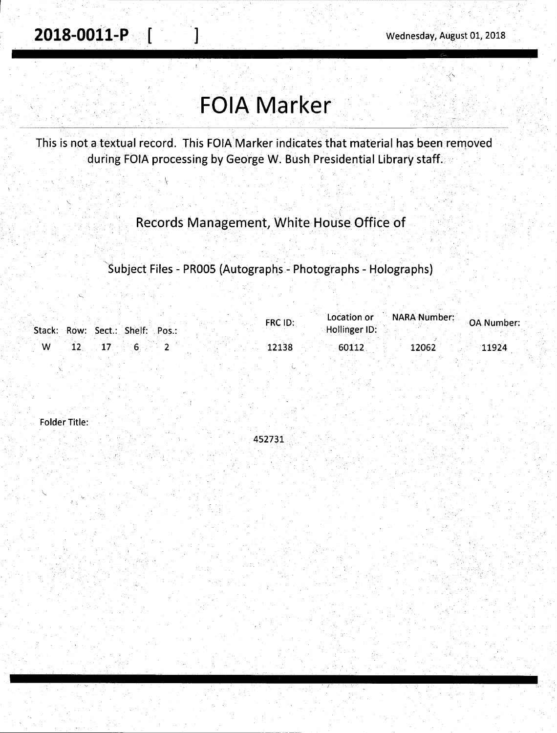**2018-0011-P** [ ] Wednesday, August 01, 2018

# **FOIA Marker**

This is not a textual record. This FOIA Marker indicates that material has been removed during FOIA processing by George W. Bush Presidential Library staff.

 $\overline{\phantom{a}}$ 

Records Management, White House Office of

Subject Files - PR005 (Autographs - Photographs - Holographs)

| Stack: Row: Sect.: Shelf: Pos.: | FRC ID: | <b>NARA Number:</b><br>Location or<br>OA Number:<br>Hollinger ID: |
|---------------------------------|---------|-------------------------------------------------------------------|
|                                 | 12138   | -60112<br>12062<br>11924                                          |

. 452731

Folder Title:

."--.: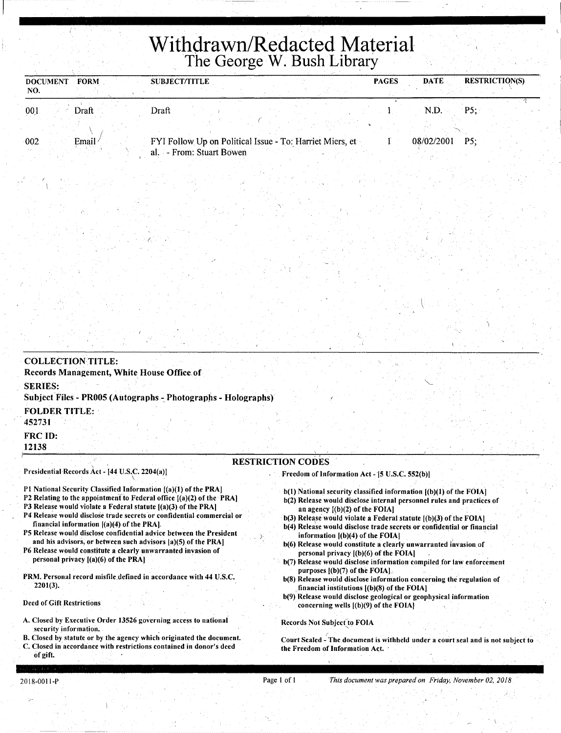## *i* .. . . **Withdrawn/Redacted Material The George W. Bush Library**

| <b>FORM</b><br><b>DOCUMENT</b><br>NO. | <b>SUBJECT/TITLE</b> |                          |                                                          | <b>PAGES</b> | <b>DATE</b> | <b>RESTRICTION(S)</b> |
|---------------------------------------|----------------------|--------------------------|----------------------------------------------------------|--------------|-------------|-----------------------|
| 001<br>Draft I                        | Draft                |                          |                                                          |              | N.D.        | P5:                   |
| 002<br>Email                          |                      |                          | FYI Follow Up on Political Issue - To: Harriet Miers, et |              | 08/02/2001  | P5:                   |
|                                       |                      | al. - From: Stuart Bowen |                                                          |              |             |                       |

| <b>COLLECTION TITLE:</b><br>Records Management, White House Office of                                                                   |                                                                                                                                             |
|-----------------------------------------------------------------------------------------------------------------------------------------|---------------------------------------------------------------------------------------------------------------------------------------------|
| <b>SERIES:</b><br>Subject Files - PR005 (Autographs - Photographs - Holographs)                                                         |                                                                                                                                             |
| <b>FOLDER TITLE:</b><br>452731<br>FRC ID:<br>12138                                                                                      |                                                                                                                                             |
| Presidential Records Act - [44 U.S.C. 2204(a)]                                                                                          | <b>RESTRICTION CODES</b><br>Freedom of Information Act - [5 U.S.C. 552(b)]                                                                  |
| P1 National Security Classified Information [(a)(1) of the PRA]<br>P2 Relating to the appointment to Federal office ((a)(2) of the PRA) | b(1) National security classified information [(b)(1) of the FOIA]<br>b(2) Release would disclose internal personnel rules and practices of |

. )

- P3 Release would violate a Federal statute [(a)(3) of the PRA]
- P4 Release would disclose trade secrets or confidential commercial or financial information [(a)(4) of the PRA].
- PS Release would disclose confidential advice between the President and his advisors, or between such advisors [a)(S) of the PRA]
- P6 Release would constitute a clearly unwarranted invasion of personal privacy  $[(a)(6)$  of the PRA]
- PRM. Personal record misfile defined in accordance with 44 U.S.C. 2201(3).

#### Deed of Gift Restrictions

- A. Closed by Executive Order 13526 governing access to national security information.
- B. Closed by statute or by the agency which originated the document. C. Closed in accordance with restrictions contained in donor's deed
- lelease would disclose internal personnel rules and practices of an agency [(b)(2) of the FOIA]
- $b(3)$  Release would violate a Federal statute  $[(b)(3)$  of the FOIA]
- b(4) Release would disclose trade secrets or confidential or financial information  $[(b)(4)$  of the FOIA]
- b(6) Release would constitute a clearly unwarranted invasion of personal privacy [(b)(6) of the FOIA) .
- b(7) Release would disclose information compiled for law enforcement purposes  $[(b)(7)$  of the FOIA].
- b(8) Release would disclose information concerning the regulation of financial institutions  $[(b)(8)$  of the FOIA]
- b(9) Release would disclose geological or geophysical information concerning wells  $[(b)(9)$  of the FOIA $]$

#### Records Not Subject to FOIA

Court Sealed - The document is withheld under a court seal and is not subject to the Freedom of Information Act.

of girt.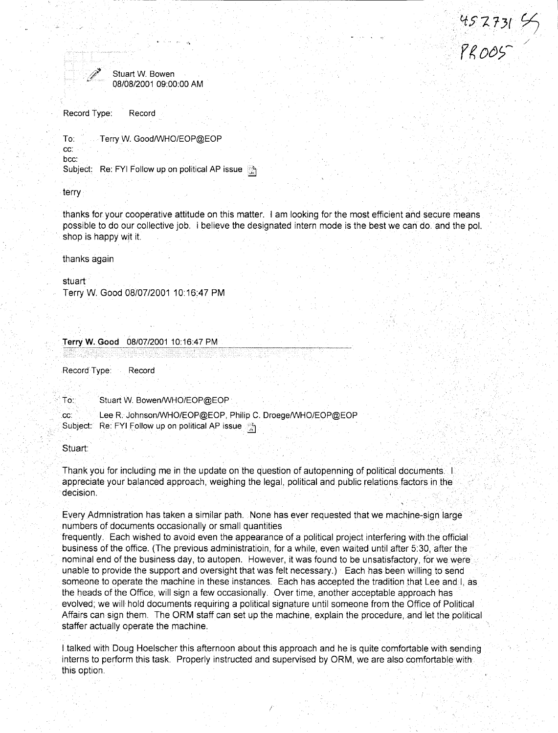452731 SS<br>PROOS



Stuart W. Bowen 08/08/2001 09:00:00 AM

Record Type: Record

Terry W. Good/WHO/EOP@EOP To:

cc: hoc:

Subject: Re: FYI Follow up on political AP issue

terry

thanks for your cooperative attitude on this matter. I am looking for the most efficient and secure means possible to do our collective job. i believe the designated intern mode is the best we can do, and the pol. shop is happy wit it.

thanks again

stuart

Terry W. Good 08/07/2001 10:16:47 PM

08/07/2001 10:16:47 PM Terry W. Good

Record Type: Record

To: Stuart W. Bowen/WHO/EOP@EOP

Lee R. Johnson/WHO/EOP@EOP, Philip C. Droege/WHO/EOP@EOP CC:

Subject: Re: FYI Follow up on political AP issue

Stuart:

Thank you for including me in the update on the question of autopenning of political documents. appreciate your balanced approach, weighing the legal, political and public relations factors in the decision.

Every Admnistration has taken a similar path. None has ever requested that we machine-sign large numbers of documents occasionally or small quantities

frequently. Each wished to avoid even the appearance of a political project interfering with the official business of the office. (The previous administration, for a while, even waited until after 5:30, after the nominal end of the business day, to autopen. However, it was found to be unsatisfactory, for we were unable to provide the support and oversight that was felt necessary.) Each has been willing to send someone to operate the machine in these instances. Each has accepted the tradition that Lee and L as the heads of the Office, will sign a few occasionally. Over time, another acceptable approach has evolved; we will hold documents requiring a political signature until someone from the Office of Political Affairs can sign them. The ORM staff can set up the machine, explain the procedure, and let the political staffer actually operate the machine.

I talked with Doug Hoelscher this afternoon about this approach and he is quite comfortable with sending interns to perform this task. Properly instructed and supervised by ORM, we are also comfortable with this option.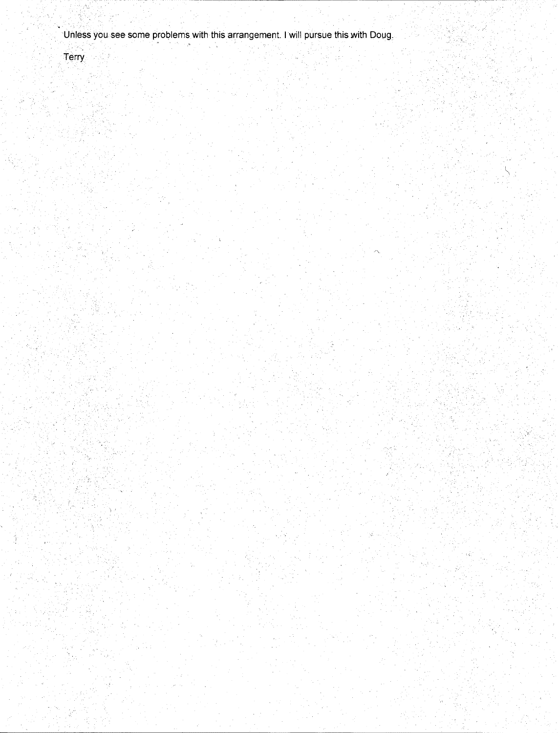Unless you see some problems with this arrangement. I will pursue this with Doug,

Terry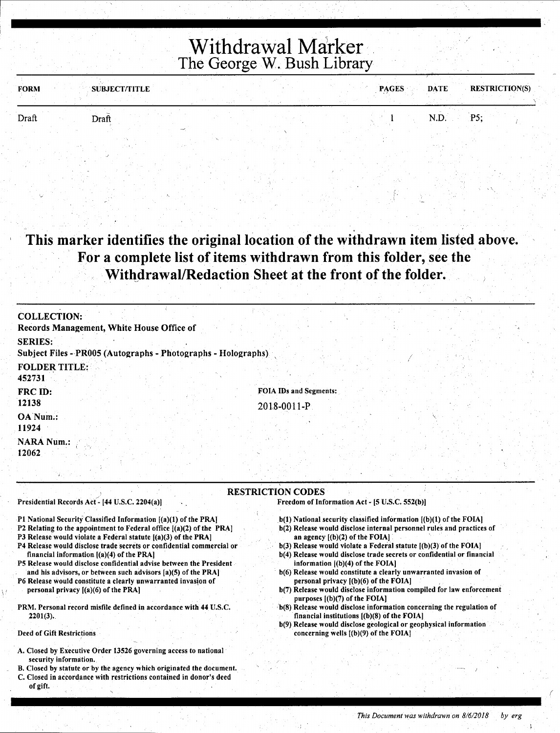### Withdrawal Marker The George W. Bush Library

| <b>FORM</b> | SUBJECT/TITLE | <b>PAGES</b> | <b>RESTRICTION(S)</b><br><b>DATE</b> |
|-------------|---------------|--------------|--------------------------------------|
| Draft       | Draft         |              | P5;<br>N.D.                          |
|             |               |              |                                      |

This marker identifies the original location of the withdrawn item listed above. For a complete list of items withdrawn from this folder, see the Withdrawal/Redaction Sheet at the front of the folder.

| <b>COLLECTION:</b>                                                              |                          |
|---------------------------------------------------------------------------------|--------------------------|
| Records Management, White House Office of                                       |                          |
| <b>SERIES:</b><br>Subject Files - PR005 (Autographs - Photographs - Holographs) |                          |
| <b>FOLDER TITLE:</b><br>452731                                                  |                          |
| FRC ID:<br>12138                                                                | FOIA IDs and Segments:   |
| OA Num.:<br>11924                                                               | 2018-0011-P              |
| <b>NARA Num.:</b><br>12062                                                      |                          |
|                                                                                 |                          |
|                                                                                 | <b>RESTRICTION CODES</b> |

Presidential Records Act - [44 U.S.C. 2204(a)]

- P1 National Security Classified Information [(a)(1) of the PRA]
- P2 Relating to the appointment to Federal office  $[(a)(2)$  of the PRA]
- P3 Release would violate a Federal statute [(a)(3) of the PRA]
- P4 Release would disclose trade secrets or confidential commercial or financial information [(a)(4) of the PRA]
- PS Release would disclose confidential advise between the President and his advisors, or between such advisors  $[a](5)$  of the PRA]
- P6 Release would constitute a clearly unwarranted invasion of personal privacy  $[(a)(6)$  of the PRA]
- PRM. Personal record misfile defined in accordance with 44 U.S.C.  $2201(3)$ .
- Deed of Gift Restrictions '
- A. Closed by Executive Order 13526 governing access to national security information.
- B. Closed by statute or by the agency which originated the document.
- C. Closed in accordance with restrictions contained in donor's deed of gift.
- Freedom of Information Act [5 U.S.C. 552(b)]
- b(l) National security classified information [(b)(l) of the FOIAJ
- b(2) Release would disclose internal personnel rules and practices of an agency [(b)(2) of the FOIA]
- b(3) Release would violate a Federal statute [(b)(3) of the FOIA]
- b(4) Release would disclose trade secrets or confidential or financial information [(b)(4) of the FOIA]
- b(6) Release would constitute a clearly unwarranted invasion of
- b(7) Release would disclose information compiled for law enforcement purposes [(b)(7) of the FOIA]
- b(8) Release would disclose information concerning the regulation of financial institutions [(b)(8) of the FOIA]
- b(9) Release would disclose geological or geophysical information concerning wells [(b)(9) of the FOIA]

 $\int$